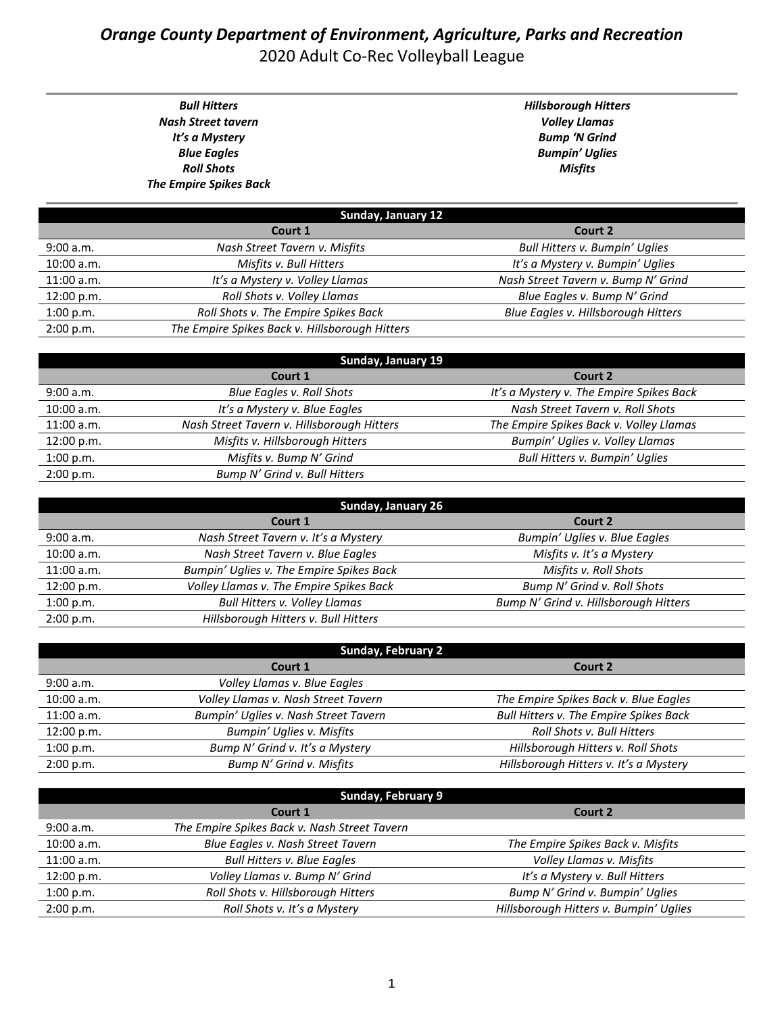## *Orange County Department of Environment, Agriculture, Parks and Recreation* 2020 Adult Co-Rec Volleyball League

*Bull Hitters Nash Street tavern It's a Mystery Blue Eagles Roll Shots The Empire Spikes Back* *Hillsborough Hitters Volley Llamas Bump 'N Grind Bumpin' Uglies Misfits*

| Sunday, January 12 |                                                |                                     |
|--------------------|------------------------------------------------|-------------------------------------|
|                    | Court 1                                        | Court 2                             |
| 9:00 a.m.          | Nash Street Tavern v. Misfits                  | Bull Hitters v. Bumpin' Uglies      |
| 10:00 a.m.         | Misfits v. Bull Hitters                        | It's a Mystery v. Bumpin' Uglies    |
| 11:00 a.m.         | It's a Mystery v. Volley Llamas                | Nash Street Tavern v. Bump N' Grind |
| 12:00 p.m.         | Roll Shots v. Volley Llamas                    | Blue Eagles v. Bump N' Grind        |
| 1:00 p.m.          | Roll Shots v. The Empire Spikes Back           | Blue Eagles v. Hillsborough Hitters |
| 2:00 p.m.          | The Empire Spikes Back v. Hillsborough Hitters |                                     |

| <b>Sunday, January 19</b> |                                            |                                          |
|---------------------------|--------------------------------------------|------------------------------------------|
|                           | Court 1                                    | Court 2                                  |
| 9:00 a.m.                 | Blue Eagles v. Roll Shots                  | It's a Mystery v. The Empire Spikes Back |
| 10:00 a.m.                | It's a Mystery v. Blue Eagles              | Nash Street Tavern v. Roll Shots         |
| 11:00 a.m.                | Nash Street Tavern v. Hillsborough Hitters | The Empire Spikes Back v. Volley Llamas  |
| 12:00 p.m.                | Misfits v. Hillsborough Hitters            | Bumpin' Uglies v. Volley Llamas          |
| 1:00 p.m.                 | Misfits v. Bump N' Grind                   | <b>Bull Hitters v. Bumpin' Uglies</b>    |
| 2:00 p.m.                 | Bump N' Grind v. Bull Hitters              |                                          |

| <b>Sunday, January 26</b> |                                          |                                       |
|---------------------------|------------------------------------------|---------------------------------------|
|                           | Court 1                                  | Court 2                               |
| 9:00 a.m.                 | Nash Street Tavern v. It's a Mystery     | Bumpin' Uglies v. Blue Eagles         |
| 10:00 a.m.                | Nash Street Tavern v. Blue Eagles        | Misfits v. It's a Mystery             |
| 11:00 a.m.                | Bumpin' Uglies v. The Empire Spikes Back | Misfits v. Roll Shots                 |
| 12:00 p.m.                | Volley Llamas v. The Empire Spikes Back  | Bump N' Grind v. Roll Shots           |
| 1:00 p.m.                 | <b>Bull Hitters v. Volley Llamas</b>     | Bump N' Grind v. Hillsborough Hitters |
| 2:00 p.m.                 | Hillsborough Hitters v. Bull Hitters     |                                       |

| <b>Sunday, February 2</b> |                                      |                                        |
|---------------------------|--------------------------------------|----------------------------------------|
|                           | Court 1                              | Court 2                                |
| 9:00 a.m.                 | Volley Llamas v. Blue Eagles         |                                        |
| $10:00$ a.m.              | Volley Llamas v. Nash Street Tavern  | The Empire Spikes Back v. Blue Eagles  |
| $11:00$ a.m.              | Bumpin' Uglies v. Nash Street Tavern | Bull Hitters v. The Empire Spikes Back |
| 12:00 p.m.                | Bumpin' Uglies v. Misfits            | Roll Shots v. Bull Hitters             |
| 1:00 p.m.                 | Bump N' Grind v. It's a Mystery      | Hillsborough Hitters v. Roll Shots     |
| 2:00 p.m.                 | Bump N' Grind v. Misfits             | Hillsborough Hitters v. It's a Mystery |

| <b>Sunday, February 9</b> |                                              |                                        |
|---------------------------|----------------------------------------------|----------------------------------------|
|                           | Court 1                                      | Court 2                                |
| 9:00 a.m.                 | The Empire Spikes Back v. Nash Street Tavern |                                        |
| 10:00 a.m.                | Blue Eagles v. Nash Street Tavern            | The Empire Spikes Back v. Misfits      |
| $11:00$ a.m.              | <b>Bull Hitters v. Blue Eagles</b>           | Volley Llamas v. Misfits               |
| 12:00 p.m.                | Volley Llamas v. Bump N' Grind               | It's a Mystery v. Bull Hitters         |
| 1:00 p.m.                 | Roll Shots v. Hillsborough Hitters           | Bump N' Grind v. Bumpin' Uglies        |
| 2:00 p.m.                 | Roll Shots v. It's a Mystery                 | Hillsborough Hitters v. Bumpin' Uglies |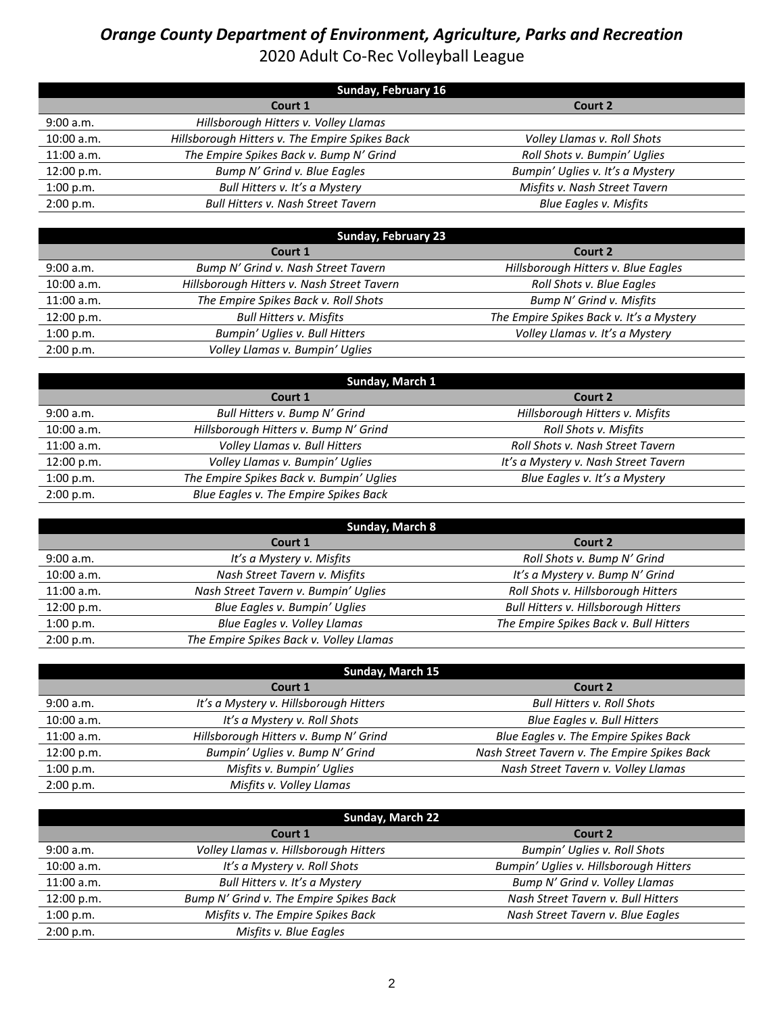## *Orange County Department of Environment, Agriculture, Parks and Recreation* 2020 Adult Co-Rec Volleyball League

| Sunday, February 16 |                                                |                                  |
|---------------------|------------------------------------------------|----------------------------------|
|                     | Court 1                                        | Court 2                          |
| 9:00 a.m.           | Hillsborough Hitters v. Volley Llamas          |                                  |
| $10:00$ a.m.        | Hillsborough Hitters v. The Empire Spikes Back | Volley Llamas v. Roll Shots      |
| $11:00$ a.m.        | The Empire Spikes Back v. Bump N' Grind        | Roll Shots v. Bumpin' Uglies     |
| 12:00 p.m.          | Bump N' Grind v. Blue Eagles                   | Bumpin' Uglies v. It's a Mystery |
| 1:00 p.m.           | Bull Hitters v. It's a Mystery                 | Misfits v. Nash Street Tavern    |
| 2:00 p.m.           | <b>Bull Hitters v. Nash Street Tavern</b>      | <b>Blue Eagles v. Misfits</b>    |

| <b>Sunday, February 23</b> |                                            |                                          |
|----------------------------|--------------------------------------------|------------------------------------------|
|                            | Court 1                                    | Court 2                                  |
| 9:00 a.m.                  | Bump N' Grind v. Nash Street Tavern        | Hillsborough Hitters v. Blue Eagles      |
| 10:00 a.m.                 | Hillsborough Hitters v. Nash Street Tavern | Roll Shots v. Blue Eagles                |
| 11:00 a.m.                 | The Empire Spikes Back v. Roll Shots       | Bump N' Grind v. Misfits                 |
| 12:00 p.m.                 | <b>Bull Hitters v. Misfits</b>             | The Empire Spikes Back v. It's a Mystery |
| 1:00 p.m.                  | Bumpin' Uglies v. Bull Hitters             | Volley Llamas v. It's a Mystery          |
| 2:00 p.m.                  | Volley Llamas v. Bumpin' Uglies            |                                          |

| Sunday, March 1 |                                          |                                      |
|-----------------|------------------------------------------|--------------------------------------|
|                 | Court 1                                  | Court 2                              |
| 9:00 a.m.       | Bull Hitters v. Bump N' Grind            | Hillsborough Hitters v. Misfits      |
| 10:00 a.m.      | Hillsborough Hitters v. Bump N' Grind    | Roll Shots v. Misfits                |
| $11:00$ a.m.    | Volley Llamas v. Bull Hitters            | Roll Shots v. Nash Street Tavern     |
| 12:00 p.m.      | Volley Llamas v. Bumpin' Uglies          | It's a Mystery v. Nash Street Tavern |
| 1:00 p.m.       | The Empire Spikes Back v. Bumpin' Uglies | Blue Eagles v. It's a Mystery        |
| 2:00 p.m.       | Blue Eagles v. The Empire Spikes Back    |                                      |

| Sunday, March 8 |                                         |                                        |
|-----------------|-----------------------------------------|----------------------------------------|
|                 | Court 1                                 | Court 2                                |
| 9:00 a.m.       | It's a Mystery v. Misfits               | Roll Shots v. Bump N' Grind            |
| 10:00 a.m.      | Nash Street Tavern v. Misfits           | It's a Mystery v. Bump N' Grind        |
| $11:00$ a.m.    | Nash Street Tavern v. Bumpin' Uglies    | Roll Shots v. Hillsborough Hitters     |
| 12:00 p.m.      | Blue Eagles v. Bumpin' Uglies           | Bull Hitters v. Hillsborough Hitters   |
| 1:00 p.m.       | Blue Eagles v. Volley Llamas            | The Empire Spikes Back v. Bull Hitters |
| 2:00 p.m.       | The Empire Spikes Back v. Volley Llamas |                                        |

| Sunday, March 15 |                                        |                                              |
|------------------|----------------------------------------|----------------------------------------------|
|                  | Court 1                                | Court 2                                      |
| 9:00 a.m.        | It's a Mystery v. Hillsborough Hitters | <b>Bull Hitters v. Roll Shots</b>            |
| 10:00 a.m.       | It's a Mystery v. Roll Shots           | Blue Eagles v. Bull Hitters                  |
| 11:00 a.m.       | Hillsborough Hitters v. Bump N' Grind  | Blue Eagles v. The Empire Spikes Back        |
| 12:00 p.m.       | Bumpin' Uglies v. Bump N' Grind        | Nash Street Tavern v. The Empire Spikes Back |
| 1:00 p.m.        | Misfits v. Bumpin' Uglies              | Nash Street Tavern v. Volley Llamas          |
| 2:00 p.m.        | Misfits v. Volley Llamas               |                                              |

| Sunday, March 22 |                                         |                                        |
|------------------|-----------------------------------------|----------------------------------------|
|                  | Court 1                                 | Court 2                                |
| 9:00 a.m.        | Volley Llamas v. Hillsborough Hitters   | Bumpin' Uglies v. Roll Shots           |
| $10:00$ a.m.     | It's a Mystery v. Roll Shots            | Bumpin' Uglies v. Hillsborough Hitters |
| 11:00 a.m.       | Bull Hitters v. It's a Mystery          | Bump N' Grind v. Volley Llamas         |
| 12:00 p.m.       | Bump N' Grind v. The Empire Spikes Back | Nash Street Tavern v. Bull Hitters     |
| 1:00 p.m.        | Misfits v. The Empire Spikes Back       | Nash Street Tavern v. Blue Eagles      |
| 2:00 p.m.        | Misfits v. Blue Eagles                  |                                        |